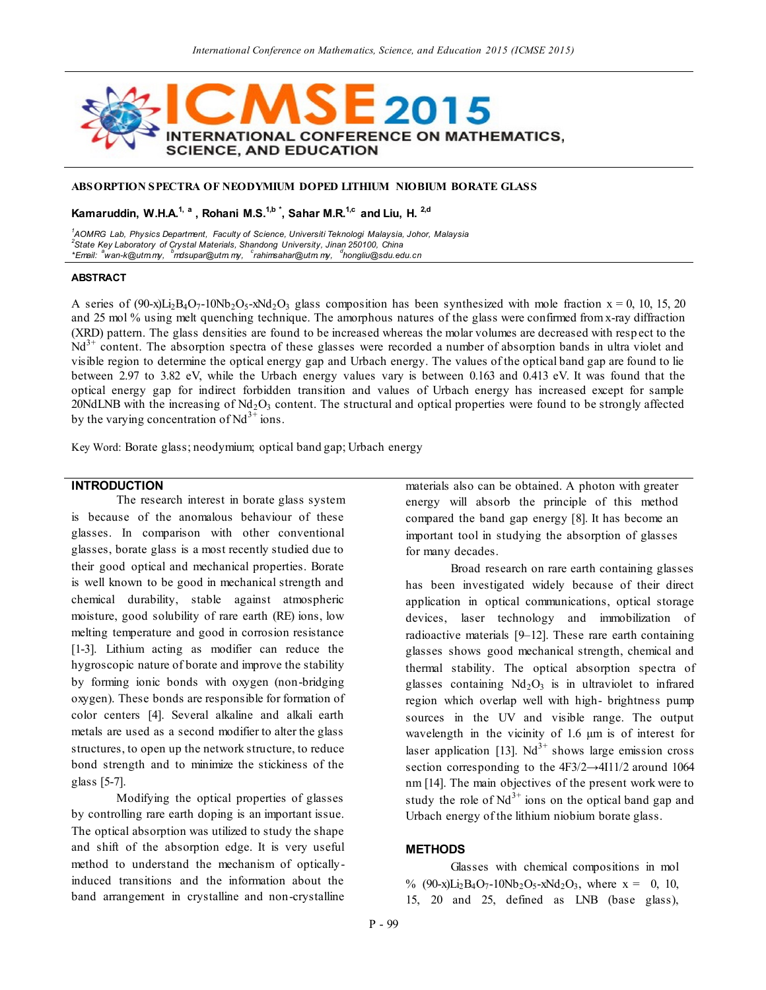

# **ABSORPTION SPECTRA OF NEODYMIUM DOPED LITHIUM NIOBIUM BORATE GLASS**

**Kamaruddin, W.H.A.1, a , Rohani M.S.1,b \*, Sahar M.R.1,c and Liu, H. 2,d**

*1 AOMRG Lab, Physics Department, Faculty of Science, Universiti Teknologi Malaysia, Johor, Malaysia 2 State Key Laboratory of Crystal Materials, Shandong University, Jinan 250100, China \*Email: <sup>a</sup> wan-k@utm.my, <sup>b</sup>mdsupar@utm. my, <sup>c</sup> rahimsahar@utm. my, <sup>d</sup> hongliu@sdu.edu.cn*

#### **ABSTRACT**

A series of (90-x)Li<sub>2</sub>B<sub>4</sub>O<sub>7</sub>-10Nb<sub>2</sub>O<sub>5</sub>-xNd<sub>2</sub>O<sub>3</sub> glass composition has been synthesized with mole fraction  $x = 0$ , 10, 15, 20 and 25 mol % using melt quenching technique. The amorphous natures of the glass were confirmed from x-ray diffraction (XRD) pattern. The glass densities are found to be increased whereas the molar volumes are decreased with resp ect to the  $Nd<sup>3+</sup>$  content. The absorption spectra of these glasses were recorded a number of absorption bands in ultra violet and visible region to determine the optical energy gap and Urbach energy. The values of the optical band gap are found to lie between 2.97 to 3.82 eV, while the Urbach energy values vary is between 0.163 and 0.413 eV. It was found that the optical energy gap for indirect forbidden transition and values of Urbach energy has increased except for sample 20NdLNB with the increasing of  $Nd_2O_3$  content. The structural and optical properties were found to be strongly affected by the varying concentration of  $Nd^{3+}$  ions.

Key Word: Borate glass; neodymium; optical band gap; Urbach energy

## **INTRODUCTION**

The research interest in borate glass system is because of the anomalous behaviour of these glasses. In comparison with other conventional glasses, borate glass is a most recently studied due to their good optical and mechanical properties. Borate is well known to be good in mechanical strength and chemical durability, stable against atmospheric moisture, good solubility of rare earth (RE) ions, low melting temperature and good in corrosion resistance [1-3]. Lithium acting as modifier can reduce the hygroscopic nature of borate and improve the stability by forming ionic bonds with oxygen (non-bridging oxygen). These bonds are responsible for formation of color centers [4]. Several alkaline and alkali earth metals are used as a second modifier to alter the glass structures, to open up the network structure, to reduce bond strength and to minimize the stickiness of the glass [5-7].

Modifying the optical properties of glasses by controlling rare earth doping is an important issue. The optical absorption was utilized to study the shape and shift of the absorption edge. It is very useful method to understand the mechanism of opticallyinduced transitions and the information about the band arrangement in crystalline and non-crystalline materials also can be obtained. A photon with greater energy will absorb the principle of this method compared the band gap energy [8]. It has become an important tool in studying the absorption of glasses for many decades.

Broad research on rare earth containing glasses has been investigated widely because of their direct application in optical communications, optical storage devices, laser technology and immobilization of radioactive materials [9–12]. These rare earth containing glasses shows good mechanical strength, chemical and thermal stability. The optical absorption spectra of glasses containing  $Nd<sub>2</sub>O<sub>3</sub>$  is in ultraviolet to infrared region which overlap well with high- brightness pump sources in the UV and visible range. The output wavelength in the vicinity of 1.6  $\mu$ m is of interest for laser application [13].  $Nd^{3+}$  shows large emission cross section corresponding to the 4F3/2→4I11/2 around 1064 nm [14]. The main objectives of the present work were to study the role of  $Nd^{3+}$  ions on the optical band gap and Urbach energy of the lithium niobium borate glass.

## **METHODS**

Glasses with chemical compositions in mol %  $(90-x)Li_2B_4O_7-10Nb_2O_5-xNd_2O_3$ , where  $x = 0, 10,$ 15, 20 and 25, defined as LNB (base glass),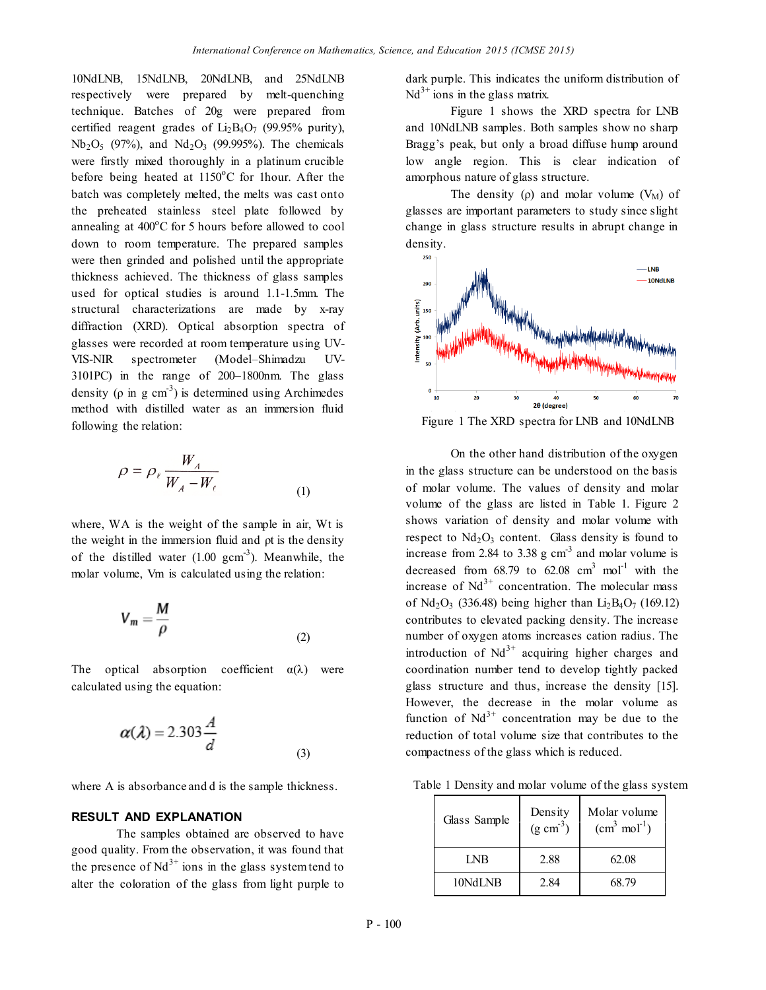10NdLNB, 15NdLNB, 20NdLNB, and 25NdLNB respectively were prepared by melt-quenching technique. Batches of 20g were prepared from certified reagent grades of  $Li<sub>2</sub>B<sub>4</sub>O<sub>7</sub>$  (99.95% purity),  $Nb_2O_5$  (97%), and  $Nd_2O_3$  (99.995%). The chemicals were firstly mixed thoroughly in a platinum crucible before being heated at  $1150^{\circ}$ C for 1hour. After the batch was completely melted, the melts was cast onto the preheated stainless steel plate followed by annealing at  $400^{\circ}$ C for 5 hours before allowed to cool down to room temperature. The prepared samples were then grinded and polished until the appropriate thickness achieved. The thickness of glass samples used for optical studies is around 1.1-1.5mm. The structural characterizations are made by x-ray diffraction (XRD). Optical absorption spectra of glasses were recorded at room temperature using UV-VIS-NIR spectrometer (Model–Shimadzu UV-3101PC) in the range of 200–1800nm. The glass density ( $\rho$  in g cm<sup>-3</sup>) is determined using Archimedes method with distilled water as an immersion fluid following the relation:

$$
\rho = \rho_{\ell} \frac{W_A}{W_A - W_{\ell}}
$$
 (1)

where, WA is the weight of the sample in air, Wt is the weight in the immersion fluid and ρt is the density of the distilled water  $(1.00 \text{ gcm}^{-3})$ . Meanwhile, the molar volume, Vm is calculated using the relation:

$$
V_m = \frac{M}{\rho} \tag{2}
$$

The optical absorption coefficient  $\alpha(\lambda)$  were calculated using the equation:

$$
\alpha(\lambda) = 2.303 \frac{A}{d}
$$
 (3)

where A is absorbance and d is the sample thickness.

### **RESULT AND EXPLANATION**

The samples obtained are observed to have good quality. From the observation, it was found that the presence of  $Nd^{3+}$  ions in the glass system tend to alter the coloration of the glass from light purple to dark purple. This indicates the uniform distribution of  $Nd^{3+}$  ions in the glass matrix.

Figure 1 shows the XRD spectra for LNB and 10NdLNB samples. Both samples show no sharp Bragg's peak, but only a broad diffuse hump around low angle region. This is clear indication of amorphous nature of glass structure.

The density (ρ) and molar volume  $(V_M)$  of glasses are important parameters to study since slight change in glass structure results in abrupt change in density.



Figure 1 The XRD spectra for LNB and 10NdLNB

On the other hand distribution of the oxygen in the glass structure can be understood on the basis of molar volume. The values of density and molar volume of the glass are listed in Table 1. Figure 2 shows variation of density and molar volume with respect to  $Nd<sub>2</sub>O<sub>3</sub>$  content. Glass density is found to increase from 2.84 to 3.38  $g \text{ cm}^{-3}$  and molar volume is decreased from  $68.79$  to  $62.08$  cm<sup>3</sup> mol<sup>-1</sup> with the increase of  $Nd^{3+}$  concentration. The molecular mass of  $Nd_2O_3$  (336.48) being higher than  $Li_2B_4O_7$  (169.12) contributes to elevated packing density. The increase number of oxygen atoms increases cation radius. The introduction of  $Nd^{3+}$  acquiring higher charges and coordination number tend to develop tightly packed glass structure and thus, increase the density [15]. However, the decrease in the molar volume as function of  $Nd^{3+}$  concentration may be due to the reduction of total volume size that contributes to the compactness of the glass which is reduced.

Table 1 Density and molar volume of the glass system

| Glass Sample | Density<br>$(g \text{ cm}^3)$ | Molar volume<br>$(cm3 mol-1)$ |
|--------------|-------------------------------|-------------------------------|
| I NB         | 2.88                          | 62.08                         |
| 10NdLNB      | 2.84                          | 68.79                         |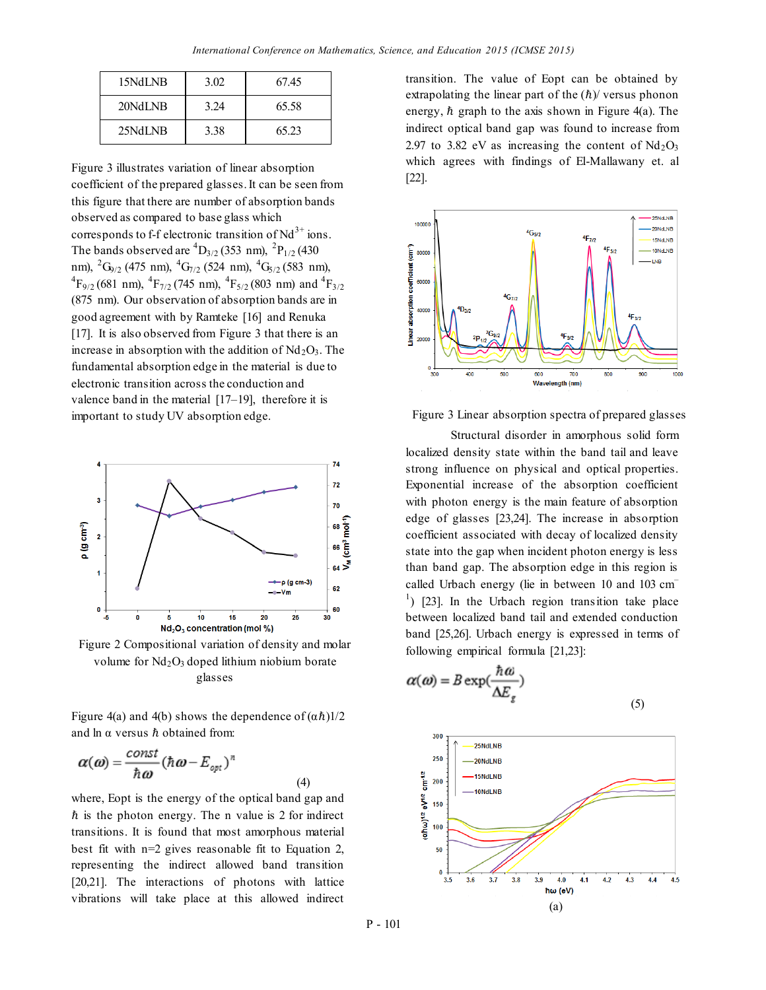| 15NdLNB | 3.02 | 6745  |  |
|---------|------|-------|--|
| 20NdLNB | 3 24 | 65.58 |  |
| 25NdLNB | 3.38 | 65.23 |  |

Figure 3 illustrates variation of linear absorption coefficient of the prepared glasses. It can be seen from this figure that there are number of absorption bands observed as compared to base glass which corresponds to f-f electronic transition of  $Nd^{3+}$  ions. The bands observed are  ${}^{4}D_{3/2}$  (353 nm),  ${}^{2}P_{1/2}$  (430 nm),  ${}^{2}G_{9/2}$  (475 nm),  ${}^{4}G_{7/2}$  (524 nm),  ${}^{4}G_{5/2}$  (583 nm),  ${}^{4}F_{9/2}$  (681 nm),  ${}^{4}F_{7/2}$  (745 nm),  ${}^{4}F_{5/2}$  (803 nm) and  ${}^{4}F_{3/2}$ (875 nm). Our observation of absorption bands are in good agreement with by Ramteke [16] and Renuka [17]. It is also observed from Figure 3 that there is an increase in absorption with the addition of  $Nd<sub>2</sub>O<sub>3</sub>$ . The fundamental absorption edge in the material is due to electronic transition across the conduction and valence band in the material [17–19], therefore it is important to study UV absorption edge.



Figure 2 Compositional variation of density and molar volume for  $Nd<sub>2</sub>O<sub>3</sub>$  doped lithium niobium borate glasses

Figure 4(a) and 4(b) shows the dependence of  $(\alpha \hbar)$ 1/2 and  $\ln \alpha$  versus  $\hbar$  obtained from:

(4)

$$
\boldsymbol{\alpha}(\boldsymbol{\omega})=\frac{const}{\hbar\boldsymbol{\omega}}(\hbar\boldsymbol{\omega}-E_{opt})^n
$$

where, Eopt is the energy of the optical band gap and  $\hbar$  is the photon energy. The n value is 2 for indirect transitions. It is found that most amorphous material best fit with n=2 gives reasonable fit to Equation 2, representing the indirect allowed band transition [20,21]. The interactions of photons with lattice vibrations will take place at this allowed indirect

transition. The value of Eopt can be obtained by extrapolating the linear part of the  $(h)$  versus phonon energy,  $\hbar$  graph to the axis shown in Figure 4(a). The indirect optical band gap was found to increase from 2.97 to 3.82 eV as increasing the content of  $Nd_2O_3$ which agrees with findings of El-Mallawany et. al [22].



Figure 3 Linear absorption spectra of prepared glasses

Structural disorder in amorphous solid form localized density state within the band tail and leave strong influence on physical and optical properties. Exponential increase of the absorption coefficient with photon energy is the main feature of absorption edge of glasses [23,24]. The increase in absorption coefficient associated with decay of localized density state into the gap when incident photon energy is less than band gap. The absorption edge in this region is called Urbach energy (lie in between 10 and 103 cm–  $\vert$ <sup>1</sup>) [23]. In the Urbach region transition take place between localized band tail and extended conduction band [25,26]. Urbach energy is expressed in terms of following empirical formula [21,23]:

$$
\alpha(\omega) = B \exp(\frac{\hbar \omega}{\Delta E_{g}})
$$
\n(5)

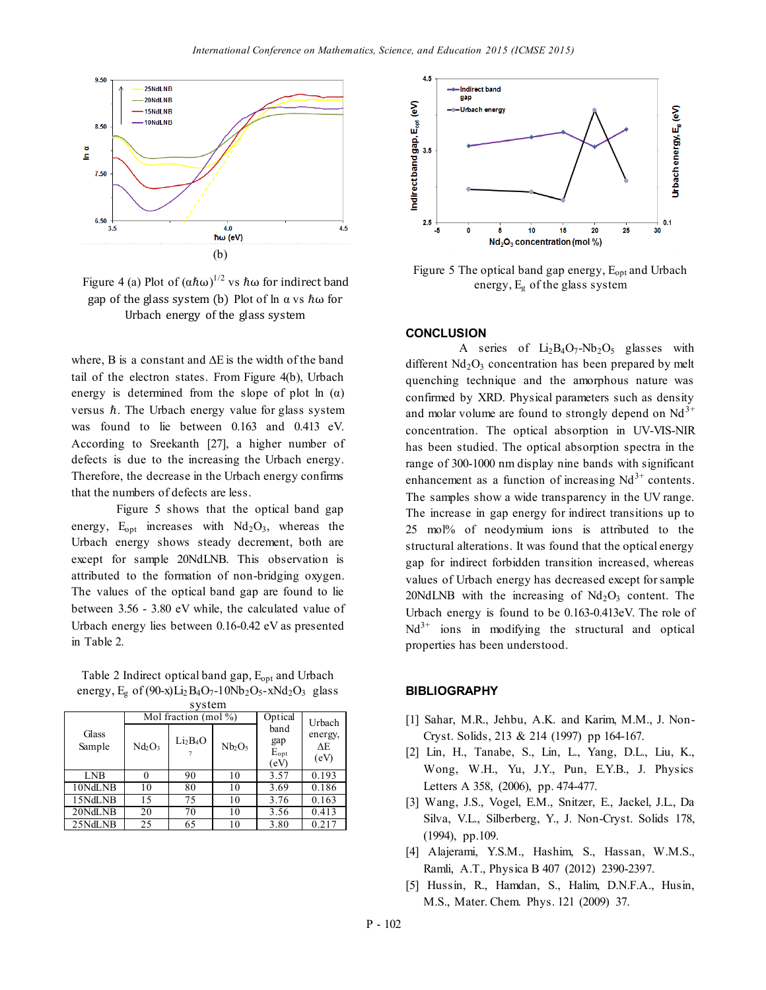

Figure 4 (a) Plot of  $(α\hbarω)^{1/2}$  vs  $\hbarω$  for indirect band gap of the glass system (b) Plot of  $\ln \alpha$  vs  $\hbar \omega$  for Urbach energy of the glass system

where, B is a constant and ∆E is the width of the band tail of the electron states. From Figure 4(b), Urbach energy is determined from the slope of plot ln  $(\alpha)$ versus  $\hbar$ . The Urbach energy value for glass system was found to lie between 0.163 and 0.413 eV. According to Sreekanth [27], a higher number of defects is due to the increasing the Urbach energy. Therefore, the decrease in the Urbach energy confirms that the numbers of defects are less.

Figure 5 shows that the optical band gap energy,  $E_{opt}$  increases with  $Nd_2O_3$ , whereas the Urbach energy shows steady decrement, both are except for sample 20NdLNB. This observation is attributed to the formation of non-bridging oxygen. The values of the optical band gap are found to lie between 3.56 - 3.80 eV while, the calculated value of Urbach energy lies between 0.16-0.42 eV as presented in Table 2.

Table 2 Indirect optical band gap,  $E_{opt}$  and Urbach energy,  $E_g$  of (90-x) $Li_2B_4O_7$ -10Nb<sub>2</sub>O<sub>5</sub>-xNd<sub>2</sub>O<sub>3</sub> glass

| system          |                          |                                  |                                |                                  |                       |  |  |  |
|-----------------|--------------------------|----------------------------------|--------------------------------|----------------------------------|-----------------------|--|--|--|
|                 | Mol fraction (mol $\%$ ) |                                  |                                | Optical                          | Urbach                |  |  |  |
| Glass<br>Sample | $Nd_2O_3$                | Li <sub>2</sub> B <sub>4</sub> O | Nb <sub>2</sub> O <sub>5</sub> | band<br>gap<br>$E_{opt}$<br>(eV) | energy,<br>ΛE<br>(eV) |  |  |  |
| LNB             | 0                        | 90                               | 10                             | 3.57                             | 0.193                 |  |  |  |
| 10NdLNB         | 10                       | 80                               | 10                             | 3.69                             | 0.186                 |  |  |  |
| 15NdLNB         | 15                       | 75                               | 10                             | 3.76                             | 0.163                 |  |  |  |
| 20NdLNB         | 20                       | 70                               | 10                             | 3.56                             | 0.413                 |  |  |  |
| 25NdLNB         | 25                       | 65                               | 10                             | 3.80                             | 0.217                 |  |  |  |



Figure 5 The optical band gap energy,  $E_{opt}$  and Urbach energy,  $E_g$  of the glass system

#### **CONCLUSION**

A series of  $Li_2B_4O_7-Nb_2O_5$  glasses with different  $Nd<sub>2</sub>O<sub>3</sub>$  concentration has been prepared by melt quenching technique and the amorphous nature was confirmed by XRD. Physical parameters such as density and molar volume are found to strongly depend on  $Nd<sup>3+</sup>$ concentration. The optical absorption in UV-VIS-NIR has been studied. The optical absorption spectra in the range of 300-1000 nm display nine bands with significant enhancement as a function of increasing  $Nd^{3+}$  contents. The samples show a wide transparency in the UV range. The increase in gap energy for indirect transitions up to 25 mol% of neodymium ions is attributed to the structural alterations. It was found that the optical energy gap for indirect forbidden transition increased, whereas values of Urbach energy has decreased except for sample 20NdLNB with the increasing of  $Nd<sub>2</sub>O<sub>3</sub>$  content. The Urbach energy is found to be 0.163-0.413eV. The role of  $Nd^{3+}$  ions in modifying the structural and optical properties has been understood.

#### **BIBLIOGRAPHY**

- [1] Sahar, M.R., Jehbu, A.K. and Karim, M.M., J. Non-Cryst. Solids, 213 & 214 (1997) pp 164-167.
- [2] Lin, H., Tanabe, S., Lin, L., Yang, D.L., Liu, K., Wong, W.H., Yu, J.Y., Pun, E.Y.B., J. Physics Letters A 358, (2006), pp. 474-477.
- [3] Wang, J.S., Vogel, E.M., Snitzer, E., Jackel, J.L., Da Silva, V.L., Silberberg, Y., J. Non-Cryst. Solids 178, (1994), pp.109.
- [4] Alajerami, Y.S.M., Hashim, S., Hassan, W.M.S., Ramli, A.T., Physica B 407 (2012) 2390-2397.
- [5] Hussin, R., Hamdan, S., Halim, D.N.F.A., Husin, M.S., Mater. Chem. Phys. 121 (2009) 37.